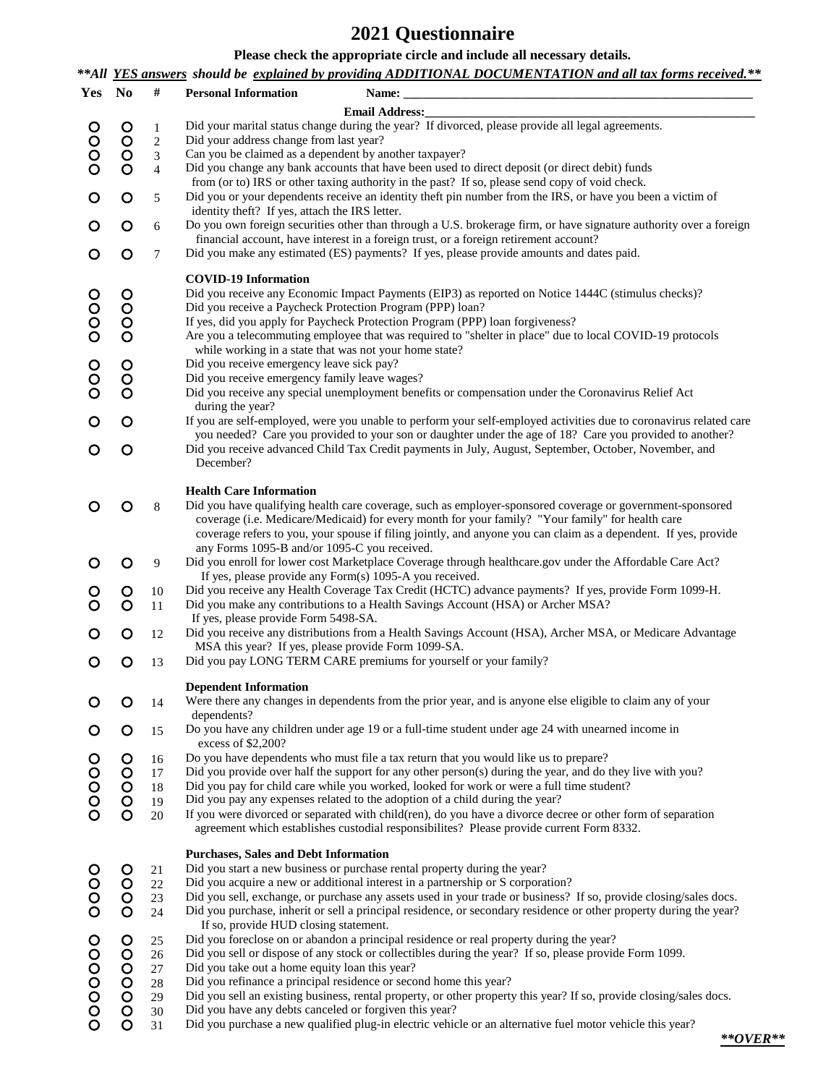## **2021 Questionnaire**

**Please check the appropriate circle and include all necessary details.**

*\*\*All YES answers should be explained by providing ADDITIONAL DOCUMENTATION and all tax forms received.\*\**

| Yes         | $\mathbf{N}\mathbf{o}$ | $\#$                       | <b>Personal Information</b><br>Name:<br>the control of the control of the control of the control of the control of the control of                                                                                   |
|-------------|------------------------|----------------------------|---------------------------------------------------------------------------------------------------------------------------------------------------------------------------------------------------------------------|
|             |                        |                            | <b>Email Address:</b>                                                                                                                                                                                               |
|             | ooo                    | $\mathbf{1}$<br>$\sqrt{2}$ | Did your marital status change during the year? If divorced, please provide all legal agreements.<br>Did your address change from last year?                                                                        |
| O<br>O<br>O |                        | 3                          | Can you be claimed as a dependent by another taxpayer?                                                                                                                                                              |
|             |                        | $\overline{4}$             | Did you change any bank accounts that have been used to direct deposit (or direct debit) funds                                                                                                                      |
| O           | $\circ$                | 5                          | from (or to) IRS or other taxing authority in the past? If so, please send copy of void check.<br>Did you or your dependents receive an identity theft pin number from the IRS, or have you been a victim of        |
|             |                        |                            | identity theft? If yes, attach the IRS letter.                                                                                                                                                                      |
| O           | $\circ$                | 6                          | Do you own foreign securities other than through a U.S. brokerage firm, or have signature authority over a foreign<br>financial account, have interest in a foreign trust, or a foreign retirement account?         |
| O           | $\circ$                | 7                          | Did you make any estimated (ES) payments? If yes, please provide amounts and dates paid.                                                                                                                            |
|             |                        |                            | <b>COVID-19 Information</b>                                                                                                                                                                                         |
| O           | $\circ$                |                            | Did you receive any Economic Impact Payments (EIP3) as reported on Notice 1444C (stimulus checks)?<br>Did you receive a Paycheck Protection Program (PPP) loan?                                                     |
| O<br>O<br>O | ŎOO                    |                            | If yes, did you apply for Paycheck Protection Program (PPP) loan forgiveness?                                                                                                                                       |
|             |                        |                            | Are you a telecommuting employee that was required to "shelter in place" due to local COVID-19 protocols                                                                                                            |
|             |                        |                            | while working in a state that was not your home state?<br>Did you receive emergency leave sick pay?                                                                                                                 |
| OO<br>O     | OOO                    |                            | Did you receive emergency family leave wages?                                                                                                                                                                       |
|             |                        |                            | Did you receive any special unemployment benefits or compensation under the Coronavirus Relief Act                                                                                                                  |
| O           | $\circ$                |                            | during the year?<br>If you are self-employed, were you unable to perform your self-employed activities due to coronavirus related care                                                                              |
|             |                        |                            | you needed? Care you provided to your son or daughter under the age of 18? Care you provided to another?                                                                                                            |
| O           | $\circ$                |                            | Did you receive advanced Child Tax Credit payments in July, August, September, October, November, and                                                                                                               |
|             |                        |                            | December?                                                                                                                                                                                                           |
|             |                        |                            | <b>Health Care Information</b>                                                                                                                                                                                      |
|             | O                      | 8                          | Did you have qualifying health care coverage, such as employer-sponsored coverage or government-sponsored                                                                                                           |
|             |                        |                            | coverage (i.e. Medicare/Medicaid) for every month for your family? "Your family" for health care<br>coverage refers to you, your spouse if filing jointly, and anyone you can claim as a dependent. If yes, provide |
|             |                        |                            | any Forms 1095-B and/or 1095-C you received.                                                                                                                                                                        |
|             | O                      | 9                          | Did you enroll for lower cost Marketplace Coverage through healthcare.gov under the Affordable Care Act?                                                                                                            |
|             | $\circ$                | 10                         | If yes, please provide any Form(s) 1095-A you received.<br>Did you receive any Health Coverage Tax Credit (HCTC) advance payments? If yes, provide Form 1099-H.                                                     |
|             | $\circ$                | 11                         | Did you make any contributions to a Health Savings Account (HSA) or Archer MSA?                                                                                                                                     |
|             |                        |                            | If yes, please provide Form 5498-SA.                                                                                                                                                                                |
|             | O                      | 12                         | Did you receive any distributions from a Health Savings Account (HSA), Archer MSA, or Medicare Advantage<br>MSA this year? If yes, please provide Form 1099-SA.                                                     |
| O           | $\circ$                | 13                         | Did you pay LONG TERM CARE premiums for yourself or your family?                                                                                                                                                    |
|             |                        |                            | <b>Dependent Information</b>                                                                                                                                                                                        |
| O           | $\circ$                | 14                         | Were there any changes in dependents from the prior year, and is anyone else eligible to claim any of your                                                                                                          |
|             |                        |                            | dependents?                                                                                                                                                                                                         |
|             | $\circ$                | 15                         | Do you have any children under age 19 or a full-time student under age 24 with unearned income in<br>excess of \$2,200?                                                                                             |
|             | $\circ$                | 16                         | Do you have dependents who must file a tax return that you would like us to prepare?                                                                                                                                |
|             |                        | 17<br>18                   | Did you provide over half the support for any other person(s) during the year, and do they live with you?<br>Did you pay for child care while you worked, looked for work or were a full time student?              |
| 00000       | 0000                   | 19                         | Did you pay any expenses related to the adoption of a child during the year?                                                                                                                                        |
|             |                        | 20                         | If you were divorced or separated with child(ren), do you have a divorce decree or other form of separation                                                                                                         |
|             |                        |                            | agreement which establishes custodial responsibilites? Please provide current Form 8332.                                                                                                                            |
|             |                        |                            | <b>Purchases, Sales and Debt Information</b>                                                                                                                                                                        |
| OOOO        | $\circ$                | 21<br>22                   | Did you start a new business or purchase rental property during the year?<br>Did you acquire a new or additional interest in a partnership or S corporation?                                                        |
|             | OOO                    | 23                         | Did you sell, exchange, or purchase any assets used in your trade or business? If so, provide closing/sales docs.                                                                                                   |
|             |                        | 24                         | Did you purchase, inherit or sell a principal residence, or secondary residence or other property during the year?                                                                                                  |
|             |                        | 25                         | If so, provide HUD closing statement.<br>Did you foreclose on or abandon a principal residence or real property during the year?                                                                                    |
| 0000000     | 00000                  | 26                         | Did you sell or dispose of any stock or collectibles during the year? If so, please provide Form 1099.                                                                                                              |
|             |                        | 27                         | Did you take out a home equity loan this year?                                                                                                                                                                      |
|             |                        | 28                         | Did you refinance a principal residence or second home this year?<br>Did you sell an existing business, rental property, or other property this year? If so, provide closing/sales docs.                            |
|             |                        | 29<br>30                   | Did you have any debts canceled or forgiven this year?                                                                                                                                                              |
|             | $\overline{O}$         | 31                         | Did you purchase a new qualified plug-in electric vehicle or an alternative fuel motor vehicle this year?                                                                                                           |